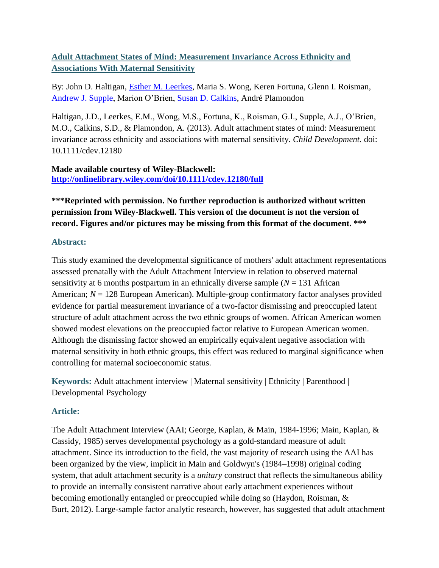# **Adult Attachment States of Mind: Measurement Invariance Across Ethnicity and Associations With Maternal Sensitivity**

By: John D. Haltigan, [Esther M. Leerkes,](http://libres.uncg.edu/ir/uncg/clist.aspx?id=1186) Maria S. Wong, Keren Fortuna, Glenn I. Roisman, [Andrew J. Supple,](http://libres.uncg.edu/ir/uncg/clist.aspx?id=1308) Marion O'Brien, [Susan D. Calkins,](http://libres.uncg.edu/ir/uncg/clist.aspx?id=1258) André Plamondon

Haltigan, J.D., Leerkes, E.M., Wong, M.S., Fortuna, K., Roisman, G.I., Supple, A.J., O'Brien, M.O., Calkins, S.D., & Plamondon, A. (2013). Adult attachment states of mind: Measurement invariance across ethnicity and associations with maternal sensitivity. *Child Development.* doi: 10.1111/cdev.12180

## **Made available courtesy of Wiley-Blackwell: <http://onlinelibrary.wiley.com/doi/10.1111/cdev.12180/full>**

**\*\*\*Reprinted with permission. No further reproduction is authorized without written permission from Wiley-Blackwell. This version of the document is not the version of record. Figures and/or pictures may be missing from this format of the document. \*\*\***

## **Abstract:**

This study examined the developmental significance of mothers' adult attachment representations assessed prenatally with the Adult Attachment Interview in relation to observed maternal sensitivity at 6 months postpartum in an ethnically diverse sample  $(N = 131$  African American; *N* = 128 European American). Multiple-group confirmatory factor analyses provided evidence for partial measurement invariance of a two-factor dismissing and preoccupied latent structure of adult attachment across the two ethnic groups of women. African American women showed modest elevations on the preoccupied factor relative to European American women. Although the dismissing factor showed an empirically equivalent negative association with maternal sensitivity in both ethnic groups, this effect was reduced to marginal significance when controlling for maternal socioeconomic status.

**Keywords:** Adult attachment interview | Maternal sensitivity | Ethnicity | Parenthood | Developmental Psychology

# **Article:**

The Adult Attachment Interview (AAI; George, Kaplan, & Main, 1984-1996; Main, Kaplan, & Cassidy, 1985) serves developmental psychology as a gold-standard measure of adult attachment. Since its introduction to the field, the vast majority of research using the AAI has been organized by the view, implicit in Main and Goldwyn's (1984–1998) original coding system, that adult attachment security is a *unitary* construct that reflects the simultaneous ability to provide an internally consistent narrative about early attachment experiences without becoming emotionally entangled or preoccupied while doing so (Haydon, Roisman, & Burt, 2012). Large-sample factor analytic research, however, has suggested that adult attachment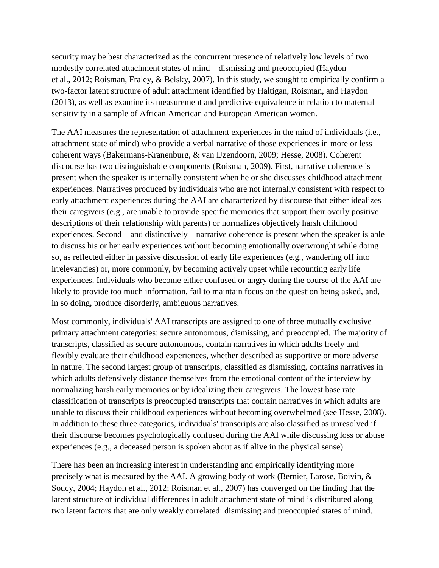security may be best characterized as the concurrent presence of relatively low levels of two modestly correlated attachment states of mind—dismissing and preoccupied (Haydon et al., 2012; Roisman, Fraley, & Belsky, 2007). In this study, we sought to empirically confirm a two-factor latent structure of adult attachment identified by Haltigan, Roisman, and Haydon (2013), as well as examine its measurement and predictive equivalence in relation to maternal sensitivity in a sample of African American and European American women.

The AAI measures the representation of attachment experiences in the mind of individuals (i.e., attachment state of mind) who provide a verbal narrative of those experiences in more or less coherent ways (Bakermans-Kranenburg, & van IJzendoorn, 2009; Hesse, 2008). Coherent discourse has two distinguishable components (Roisman, 2009). First, narrative coherence is present when the speaker is internally consistent when he or she discusses childhood attachment experiences. Narratives produced by individuals who are not internally consistent with respect to early attachment experiences during the AAI are characterized by discourse that either idealizes their caregivers (e.g., are unable to provide specific memories that support their overly positive descriptions of their relationship with parents) or normalizes objectively harsh childhood experiences. Second—and distinctively—narrative coherence is present when the speaker is able to discuss his or her early experiences without becoming emotionally overwrought while doing so, as reflected either in passive discussion of early life experiences (e.g., wandering off into irrelevancies) or, more commonly, by becoming actively upset while recounting early life experiences. Individuals who become either confused or angry during the course of the AAI are likely to provide too much information, fail to maintain focus on the question being asked, and, in so doing, produce disorderly, ambiguous narratives.

Most commonly, individuals' AAI transcripts are assigned to one of three mutually exclusive primary attachment categories: secure autonomous, dismissing, and preoccupied. The majority of transcripts, classified as secure autonomous, contain narratives in which adults freely and flexibly evaluate their childhood experiences, whether described as supportive or more adverse in nature. The second largest group of transcripts, classified as dismissing, contains narratives in which adults defensively distance themselves from the emotional content of the interview by normalizing harsh early memories or by idealizing their caregivers. The lowest base rate classification of transcripts is preoccupied transcripts that contain narratives in which adults are unable to discuss their childhood experiences without becoming overwhelmed (see Hesse, 2008). In addition to these three categories, individuals' transcripts are also classified as unresolved if their discourse becomes psychologically confused during the AAI while discussing loss or abuse experiences (e.g., a deceased person is spoken about as if alive in the physical sense).

There has been an increasing interest in understanding and empirically identifying more precisely what is measured by the AAI. A growing body of work (Bernier, Larose, Boivin, & Soucy, 2004; Haydon et al., 2012; Roisman et al., 2007) has converged on the finding that the latent structure of individual differences in adult attachment state of mind is distributed along two latent factors that are only weakly correlated: dismissing and preoccupied states of mind.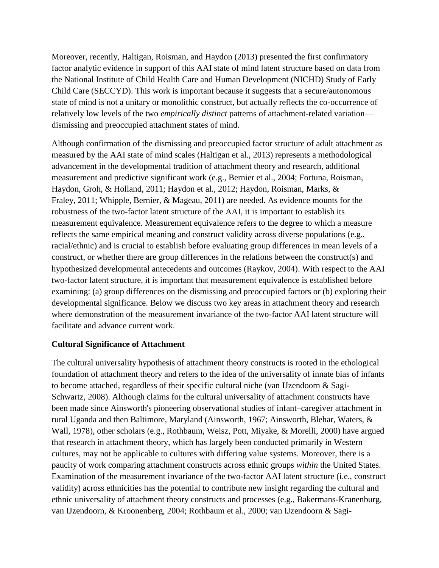Moreover, recently, Haltigan, Roisman, and Haydon (2013) presented the first confirmatory factor analytic evidence in support of this AAI state of mind latent structure based on data from the National Institute of Child Health Care and Human Development (NICHD) Study of Early Child Care (SECCYD). This work is important because it suggests that a secure/autonomous state of mind is not a unitary or monolithic construct, but actually reflects the co-occurrence of relatively low levels of the two *empirically distinct* patterns of attachment-related variation dismissing and preoccupied attachment states of mind.

Although confirmation of the dismissing and preoccupied factor structure of adult attachment as measured by the AAI state of mind scales (Haltigan et al., 2013) represents a methodological advancement in the developmental tradition of attachment theory and research, additional measurement and predictive significant work (e.g., Bernier et al., 2004; Fortuna, Roisman, Haydon, Groh, & Holland, 2011; Haydon et al., 2012; Haydon, Roisman, Marks, & Fraley, 2011; Whipple, Bernier, & Mageau, 2011) are needed. As evidence mounts for the robustness of the two-factor latent structure of the AAI, it is important to establish its measurement equivalence. Measurement equivalence refers to the degree to which a measure reflects the same empirical meaning and construct validity across diverse populations (e.g., racial/ethnic) and is crucial to establish before evaluating group differences in mean levels of a construct, or whether there are group differences in the relations between the construct(s) and hypothesized developmental antecedents and outcomes (Raykov, 2004). With respect to the AAI two-factor latent structure, it is important that measurement equivalence is established before examining: (a) group differences on the dismissing and preoccupied factors or (b) exploring their developmental significance. Below we discuss two key areas in attachment theory and research where demonstration of the measurement invariance of the two-factor AAI latent structure will facilitate and advance current work.

### **Cultural Significance of Attachment**

The cultural universality hypothesis of attachment theory constructs is rooted in the ethological foundation of attachment theory and refers to the idea of the universality of innate bias of infants to become attached, regardless of their specific cultural niche (van IJzendoorn & Sagi-Schwartz, 2008). Although claims for the cultural universality of attachment constructs have been made since Ainsworth's pioneering observational studies of infant–caregiver attachment in rural Uganda and then Baltimore, Maryland (Ainsworth, 1967; Ainsworth, Blehar, Waters, & Wall, 1978), other scholars (e.g., Rothbaum, Weisz, Pott, Miyake, & Morelli, 2000) have argued that research in attachment theory, which has largely been conducted primarily in Western cultures, may not be applicable to cultures with differing value systems. Moreover, there is a paucity of work comparing attachment constructs across ethnic groups *within* the United States. Examination of the measurement invariance of the two-factor AAI latent structure (i.e., construct validity) across ethnicities has the potential to contribute new insight regarding the cultural and ethnic universality of attachment theory constructs and processes (e.g., Bakermans-Kranenburg, van IJzendoorn, & Kroonenberg, 2004; Rothbaum et al., 2000; van IJzendoorn & Sagi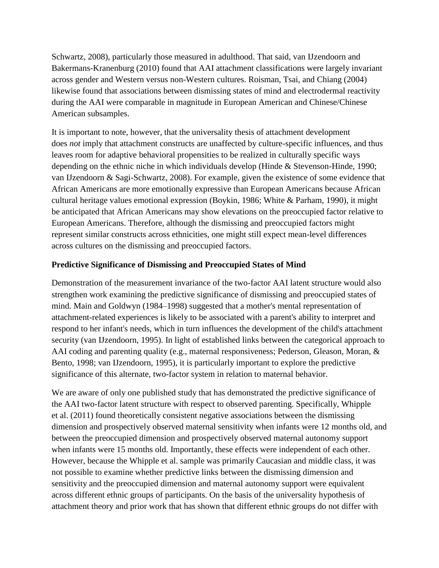Schwartz, 2008), particularly those measured in adulthood. That said, van IJzendoorn and Bakermans-Kranenburg (2010) found that AAI attachment classifications were largely invariant across gender and Western versus non-Western cultures. Roisman, Tsai, and Chiang (2004) likewise found that associations between dismissing states of mind and electrodermal reactivity during the AAI were comparable in magnitude in European American and Chinese/Chinese American subsamples.

It is important to note, however, that the universality thesis of attachment development does *not* imply that attachment constructs are unaffected by culture-specific influences, and thus leaves room for adaptive behavioral propensities to be realized in culturally specific ways depending on the ethnic niche in which individuals develop (Hinde & Stevenson-Hinde, 1990; van IJzendoorn & Sagi-Schwartz, 2008). For example, given the existence of some evidence that African Americans are more emotionally expressive than European Americans because African cultural heritage values emotional expression (Boykin, 1986; White & Parham, 1990), it might be anticipated that African Americans may show elevations on the preoccupied factor relative to European Americans. Therefore, although the dismissing and preoccupied factors might represent similar constructs across ethnicities, one might still expect mean-level differences across cultures on the dismissing and preoccupied factors.

## **Predictive Significance of Dismissing and Preoccupied States of Mind**

Demonstration of the measurement invariance of the two-factor AAI latent structure would also strengthen work examining the predictive significance of dismissing and preoccupied states of mind. Main and Goldwyn (1984–1998) suggested that a mother's mental representation of attachment-related experiences is likely to be associated with a parent's ability to interpret and respond to her infant's needs, which in turn influences the development of the child's attachment security (van IJzendoorn, 1995). In light of established links between the categorical approach to AAI coding and parenting quality (e.g., maternal responsiveness; Pederson, Gleason, Moran, & Bento, 1998; van IJzendoorn, 1995), it is particularly important to explore the predictive significance of this alternate, two-factor system in relation to maternal behavior.

We are aware of only one published study that has demonstrated the predictive significance of the AAI two-factor latent structure with respect to observed parenting. Specifically, Whipple et al. (2011) found theoretically consistent negative associations between the dismissing dimension and prospectively observed maternal sensitivity when infants were 12 months old, and between the preoccupied dimension and prospectively observed maternal autonomy support when infants were 15 months old. Importantly, these effects were independent of each other. However, because the Whipple et al. sample was primarily Caucasian and middle class, it was not possible to examine whether predictive links between the dismissing dimension and sensitivity and the preoccupied dimension and maternal autonomy support were equivalent across different ethnic groups of participants. On the basis of the universality hypothesis of attachment theory and prior work that has shown that different ethnic groups do not differ with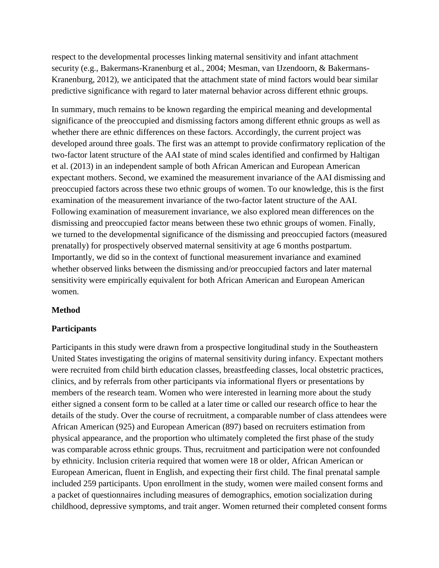respect to the developmental processes linking maternal sensitivity and infant attachment security (e.g., Bakermans-Kranenburg et al., 2004; Mesman, van IJzendoorn, & Bakermans-Kranenburg, 2012), we anticipated that the attachment state of mind factors would bear similar predictive significance with regard to later maternal behavior across different ethnic groups.

In summary, much remains to be known regarding the empirical meaning and developmental significance of the preoccupied and dismissing factors among different ethnic groups as well as whether there are ethnic differences on these factors. Accordingly, the current project was developed around three goals. The first was an attempt to provide confirmatory replication of the two-factor latent structure of the AAI state of mind scales identified and confirmed by Haltigan et al. (2013) in an independent sample of both African American and European American expectant mothers. Second, we examined the measurement invariance of the AAI dismissing and preoccupied factors across these two ethnic groups of women. To our knowledge, this is the first examination of the measurement invariance of the two-factor latent structure of the AAI. Following examination of measurement invariance, we also explored mean differences on the dismissing and preoccupied factor means between these two ethnic groups of women. Finally, we turned to the developmental significance of the dismissing and preoccupied factors (measured prenatally) for prospectively observed maternal sensitivity at age 6 months postpartum. Importantly, we did so in the context of functional measurement invariance and examined whether observed links between the dismissing and/or preoccupied factors and later maternal sensitivity were empirically equivalent for both African American and European American women.

## **Method**

### **Participants**

Participants in this study were drawn from a prospective longitudinal study in the Southeastern United States investigating the origins of maternal sensitivity during infancy. Expectant mothers were recruited from child birth education classes, breastfeeding classes, local obstetric practices, clinics, and by referrals from other participants via informational flyers or presentations by members of the research team. Women who were interested in learning more about the study either signed a consent form to be called at a later time or called our research office to hear the details of the study. Over the course of recruitment, a comparable number of class attendees were African American (925) and European American (897) based on recruiters estimation from physical appearance, and the proportion who ultimately completed the first phase of the study was comparable across ethnic groups. Thus, recruitment and participation were not confounded by ethnicity. Inclusion criteria required that women were 18 or older, African American or European American, fluent in English, and expecting their first child. The final prenatal sample included 259 participants. Upon enrollment in the study, women were mailed consent forms and a packet of questionnaires including measures of demographics, emotion socialization during childhood, depressive symptoms, and trait anger. Women returned their completed consent forms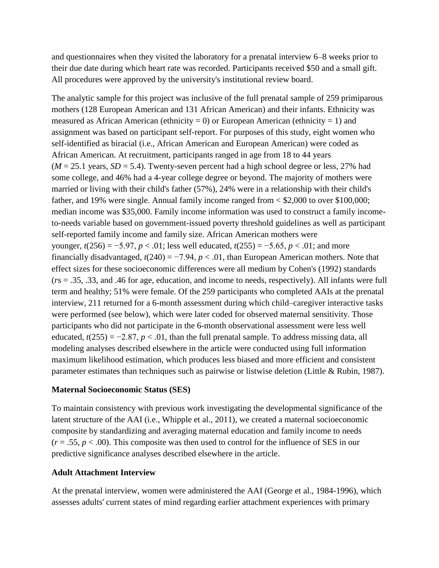and questionnaires when they visited the laboratory for a prenatal interview 6–8 weeks prior to their due date during which heart rate was recorded. Participants received \$50 and a small gift. All procedures were approved by the university's institutional review board.

The analytic sample for this project was inclusive of the full prenatal sample of 259 primiparous mothers (128 European American and 131 African American) and their infants. Ethnicity was measured as African American (ethnicity  $= 0$ ) or European American (ethnicity  $= 1$ ) and assignment was based on participant self-report. For purposes of this study, eight women who self-identified as biracial (i.e., African American and European American) were coded as African American. At recruitment, participants ranged in age from 18 to 44 years  $(M = 25.1$  years,  $SD = 5.4$ ). Twenty-seven percent had a high school degree or less, 27% had some college, and 46% had a 4-year college degree or beyond. The majority of mothers were married or living with their child's father (57%), 24% were in a relationship with their child's father, and 19% were single. Annual family income ranged from < \$2,000 to over \$100,000; median income was \$35,000. Family income information was used to construct a family incometo-needs variable based on government-issued poverty threshold guidelines as well as participant self-reported family income and family size. African American mothers were younger, *t*(256) = −5.97, *p* < .01; less well educated, *t*(255) = −5.65, *p* < .01; and more financially disadvantaged,  $t(240) = -7.94$ ,  $p < .01$ , than European American mothers. Note that effect sizes for these socioeconomic differences were all medium by Cohen's (1992) standards (*r*s = .35, .33, and .46 for age, education, and income to needs, respectively). All infants were full term and healthy; 51% were female. Of the 259 participants who completed AAIs at the prenatal interview, 211 returned for a 6-month assessment during which child–caregiver interactive tasks were performed (see below), which were later coded for observed maternal sensitivity. Those participants who did not participate in the 6-month observational assessment were less well educated,  $t(255) = -2.87$ ,  $p < .01$ , than the full prenatal sample. To address missing data, all modeling analyses described elsewhere in the article were conducted using full information maximum likelihood estimation, which produces less biased and more efficient and consistent parameter estimates than techniques such as pairwise or listwise deletion (Little & Rubin, 1987).

#### **Maternal Socioeconomic Status (SES)**

To maintain consistency with previous work investigating the developmental significance of the latent structure of the AAI (i.e., Whipple et al., 2011), we created a maternal socioeconomic composite by standardizing and averaging maternal education and family income to needs  $(r = .55, p < .00)$ . This composite was then used to control for the influence of SES in our predictive significance analyses described elsewhere in the article.

### **Adult Attachment Interview**

At the prenatal interview, women were administered the AAI (George et al., 1984-1996), which assesses adults' current states of mind regarding earlier attachment experiences with primary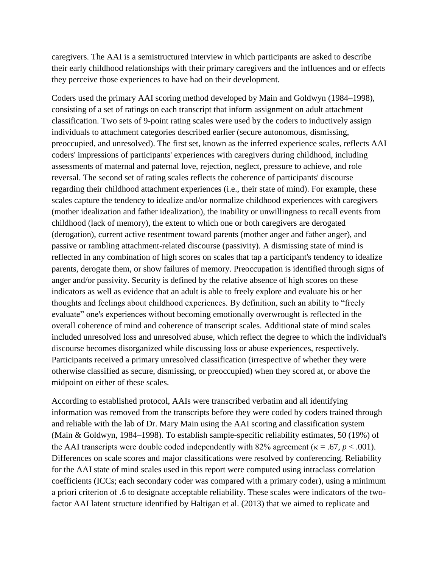caregivers. The AAI is a semistructured interview in which participants are asked to describe their early childhood relationships with their primary caregivers and the influences and or effects they perceive those experiences to have had on their development.

Coders used the primary AAI scoring method developed by Main and Goldwyn (1984–1998), consisting of a set of ratings on each transcript that inform assignment on adult attachment classification. Two sets of 9-point rating scales were used by the coders to inductively assign individuals to attachment categories described earlier (secure autonomous, dismissing, preoccupied, and unresolved). The first set, known as the inferred experience scales, reflects AAI coders' impressions of participants' experiences with caregivers during childhood, including assessments of maternal and paternal love, rejection, neglect, pressure to achieve, and role reversal. The second set of rating scales reflects the coherence of participants' discourse regarding their childhood attachment experiences (i.e., their state of mind). For example, these scales capture the tendency to idealize and/or normalize childhood experiences with caregivers (mother idealization and father idealization), the inability or unwillingness to recall events from childhood (lack of memory), the extent to which one or both caregivers are derogated (derogation), current active resentment toward parents (mother anger and father anger), and passive or rambling attachment-related discourse (passivity). A dismissing state of mind is reflected in any combination of high scores on scales that tap a participant's tendency to idealize parents, derogate them, or show failures of memory. Preoccupation is identified through signs of anger and/or passivity. Security is defined by the relative absence of high scores on these indicators as well as evidence that an adult is able to freely explore and evaluate his or her thoughts and feelings about childhood experiences. By definition, such an ability to "freely evaluate" one's experiences without becoming emotionally overwrought is reflected in the overall coherence of mind and coherence of transcript scales. Additional state of mind scales included unresolved loss and unresolved abuse, which reflect the degree to which the individual's discourse becomes disorganized while discussing loss or abuse experiences, respectively. Participants received a primary unresolved classification (irrespective of whether they were otherwise classified as secure, dismissing, or preoccupied) when they scored at, or above the midpoint on either of these scales.

According to established protocol, AAIs were transcribed verbatim and all identifying information was removed from the transcripts before they were coded by coders trained through and reliable with the lab of Dr. Mary Main using the AAI scoring and classification system (Main & Goldwyn, 1984–1998). To establish sample-specific reliability estimates, 50 (19%) of the AAI transcripts were double coded independently with 82% agreement ( $\kappa = .67$ ,  $p < .001$ ). Differences on scale scores and major classifications were resolved by conferencing. Reliability for the AAI state of mind scales used in this report were computed using intraclass correlation coefficients (ICCs; each secondary coder was compared with a primary coder), using a minimum a priori criterion of .6 to designate acceptable reliability. These scales were indicators of the twofactor AAI latent structure identified by Haltigan et al. (2013) that we aimed to replicate and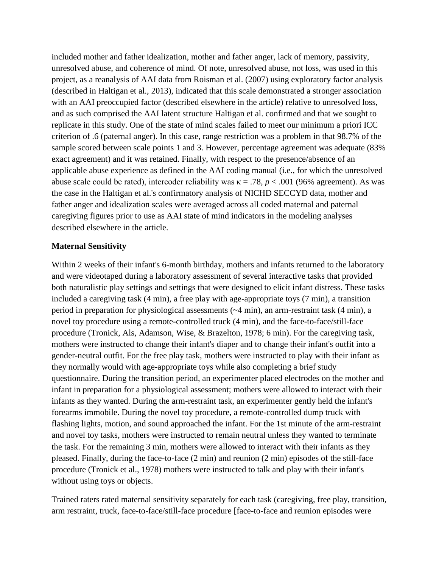included mother and father idealization, mother and father anger, lack of memory, passivity, unresolved abuse, and coherence of mind. Of note, unresolved abuse, not loss, was used in this project, as a reanalysis of AAI data from Roisman et al. (2007) using exploratory factor analysis (described in Haltigan et al., 2013), indicated that this scale demonstrated a stronger association with an AAI preoccupied factor (described elsewhere in the article) relative to unresolved loss, and as such comprised the AAI latent structure Haltigan et al. confirmed and that we sought to replicate in this study. One of the state of mind scales failed to meet our minimum a priori ICC criterion of .6 (paternal anger). In this case, range restriction was a problem in that 98.7% of the sample scored between scale points 1 and 3. However, percentage agreement was adequate (83% exact agreement) and it was retained. Finally, with respect to the presence/absence of an applicable abuse experience as defined in the AAI coding manual (i.e., for which the unresolved abuse scale could be rated), intercoder reliability was  $\kappa = .78$ ,  $p < .001$  (96% agreement). As was the case in the Haltigan et al.'s confirmatory analysis of NICHD SECCYD data, mother and father anger and idealization scales were averaged across all coded maternal and paternal caregiving figures prior to use as AAI state of mind indicators in the modeling analyses described elsewhere in the article.

### **Maternal Sensitivity**

Within 2 weeks of their infant's 6-month birthday, mothers and infants returned to the laboratory and were videotaped during a laboratory assessment of several interactive tasks that provided both naturalistic play settings and settings that were designed to elicit infant distress. These tasks included a caregiving task (4 min), a free play with age-appropriate toys (7 min), a transition period in preparation for physiological assessments (~4 min), an arm-restraint task (4 min), a novel toy procedure using a remote-controlled truck (4 min), and the face-to-face/still-face procedure (Tronick, Als, Adamson, Wise, & Brazelton, 1978; 6 min). For the caregiving task, mothers were instructed to change their infant's diaper and to change their infant's outfit into a gender-neutral outfit. For the free play task, mothers were instructed to play with their infant as they normally would with age-appropriate toys while also completing a brief study questionnaire. During the transition period, an experimenter placed electrodes on the mother and infant in preparation for a physiological assessment; mothers were allowed to interact with their infants as they wanted. During the arm-restraint task, an experimenter gently held the infant's forearms immobile. During the novel toy procedure, a remote-controlled dump truck with flashing lights, motion, and sound approached the infant. For the 1st minute of the arm-restraint and novel toy tasks, mothers were instructed to remain neutral unless they wanted to terminate the task. For the remaining 3 min, mothers were allowed to interact with their infants as they pleased. Finally, during the face-to-face (2 min) and reunion (2 min) episodes of the still-face procedure (Tronick et al., 1978) mothers were instructed to talk and play with their infant's without using toys or objects.

Trained raters rated maternal sensitivity separately for each task (caregiving, free play, transition, arm restraint, truck, face-to-face/still-face procedure [face-to-face and reunion episodes were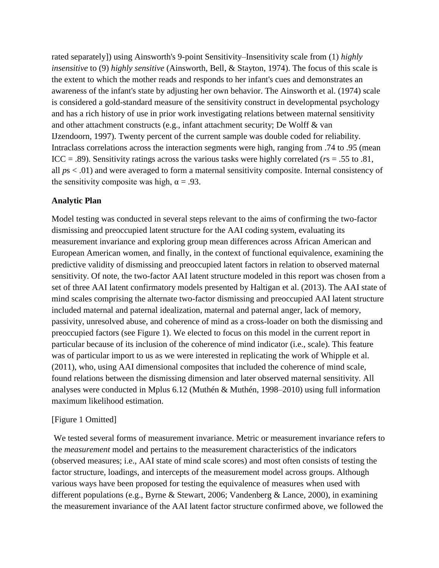rated separately]) using Ainsworth's 9-point Sensitivity–Insensitivity scale from (1) *highly insensitive* to (9) *highly sensitive* (Ainsworth, Bell, & Stayton, 1974). The focus of this scale is the extent to which the mother reads and responds to her infant's cues and demonstrates an awareness of the infant's state by adjusting her own behavior. The Ainsworth et al. (1974) scale is considered a gold-standard measure of the sensitivity construct in developmental psychology and has a rich history of use in prior work investigating relations between maternal sensitivity and other attachment constructs (e.g., infant attachment security; De Wolff & van IJzendoorn, 1997). Twenty percent of the current sample was double coded for reliability. Intraclass correlations across the interaction segments were high, ranging from .74 to .95 (mean ICC = .89). Sensitivity ratings across the various tasks were highly correlated (*r*s = .55 to .81, all *p*s < .01) and were averaged to form a maternal sensitivity composite. Internal consistency of the sensitivity composite was high,  $\alpha = .93$ .

### **Analytic Plan**

Model testing was conducted in several steps relevant to the aims of confirming the two-factor dismissing and preoccupied latent structure for the AAI coding system, evaluating its measurement invariance and exploring group mean differences across African American and European American women, and finally, in the context of functional equivalence, examining the predictive validity of dismissing and preoccupied latent factors in relation to observed maternal sensitivity. Of note, the two-factor AAI latent structure modeled in this report was chosen from a set of three AAI latent confirmatory models presented by Haltigan et al. (2013). The AAI state of mind scales comprising the alternate two-factor dismissing and preoccupied AAI latent structure included maternal and paternal idealization, maternal and paternal anger, lack of memory, passivity, unresolved abuse, and coherence of mind as a cross-loader on both the dismissing and preoccupied factors (see Figure 1). We elected to focus on this model in the current report in particular because of its inclusion of the coherence of mind indicator (i.e., scale). This feature was of particular import to us as we were interested in replicating the work of Whipple et al. (2011), who, using AAI dimensional composites that included the coherence of mind scale, found relations between the dismissing dimension and later observed maternal sensitivity. All analyses were conducted in Mplus 6.12 (Muthén & Muthén, 1998–2010) using full information maximum likelihood estimation.

#### [Figure 1 Omitted]

We tested several forms of measurement invariance. Metric or measurement invariance refers to the *measurement* model and pertains to the measurement characteristics of the indicators (observed measures; i.e., AAI state of mind scale scores) and most often consists of testing the factor structure, loadings, and intercepts of the measurement model across groups. Although various ways have been proposed for testing the equivalence of measures when used with different populations (e.g., Byrne & Stewart, 2006; Vandenberg & Lance, 2000), in examining the measurement invariance of the AAI latent factor structure confirmed above, we followed the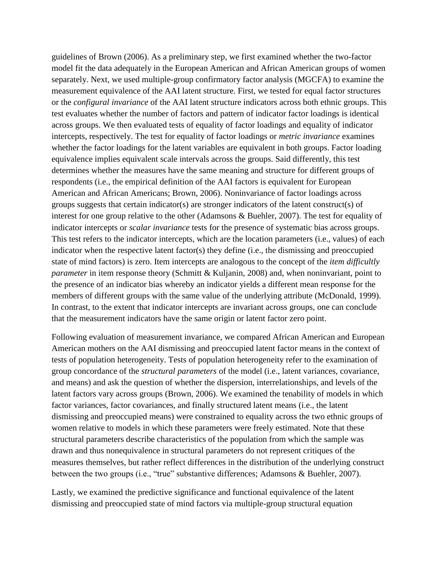guidelines of Brown (2006). As a preliminary step, we first examined whether the two-factor model fit the data adequately in the European American and African American groups of women separately. Next, we used multiple-group confirmatory factor analysis (MGCFA) to examine the measurement equivalence of the AAI latent structure. First, we tested for equal factor structures or the *configural invariance* of the AAI latent structure indicators across both ethnic groups. This test evaluates whether the number of factors and pattern of indicator factor loadings is identical across groups. We then evaluated tests of equality of factor loadings and equality of indicator intercepts, respectively. The test for equality of factor loadings or *metric invariance* examines whether the factor loadings for the latent variables are equivalent in both groups. Factor loading equivalence implies equivalent scale intervals across the groups. Said differently, this test determines whether the measures have the same meaning and structure for different groups of respondents (i.e., the empirical definition of the AAI factors is equivalent for European American and African Americans; Brown, 2006). Noninvariance of factor loadings across groups suggests that certain indicator(s) are stronger indicators of the latent construct(s) of interest for one group relative to the other (Adamsons & Buehler, 2007). The test for equality of indicator intercepts or *scalar invariance* tests for the presence of systematic bias across groups. This test refers to the indicator intercepts, which are the location parameters (i.e., values) of each indicator when the respective latent factor(s) they define (i.e., the dismissing and preoccupied state of mind factors) is zero. Item intercepts are analogous to the concept of the *item difficultly parameter* in item response theory (Schmitt & Kuljanin, 2008) and, when noninvariant, point to the presence of an indicator bias whereby an indicator yields a different mean response for the members of different groups with the same value of the underlying attribute (McDonald, 1999). In contrast, to the extent that indicator intercepts are invariant across groups, one can conclude that the measurement indicators have the same origin or latent factor zero point.

Following evaluation of measurement invariance, we compared African American and European American mothers on the AAI dismissing and preoccupied latent factor means in the context of tests of population heterogeneity. Tests of population heterogeneity refer to the examination of group concordance of the *structural parameters* of the model (i.e., latent variances, covariance, and means) and ask the question of whether the dispersion, interrelationships, and levels of the latent factors vary across groups (Brown, 2006). We examined the tenability of models in which factor variances, factor covariances, and finally structured latent means (i.e., the latent dismissing and preoccupied means) were constrained to equality across the two ethnic groups of women relative to models in which these parameters were freely estimated. Note that these structural parameters describe characteristics of the population from which the sample was drawn and thus nonequivalence in structural parameters do not represent critiques of the measures themselves, but rather reflect differences in the distribution of the underlying construct between the two groups (i.e., "true" substantive differences; Adamsons & Buehler, 2007).

Lastly, we examined the predictive significance and functional equivalence of the latent dismissing and preoccupied state of mind factors via multiple-group structural equation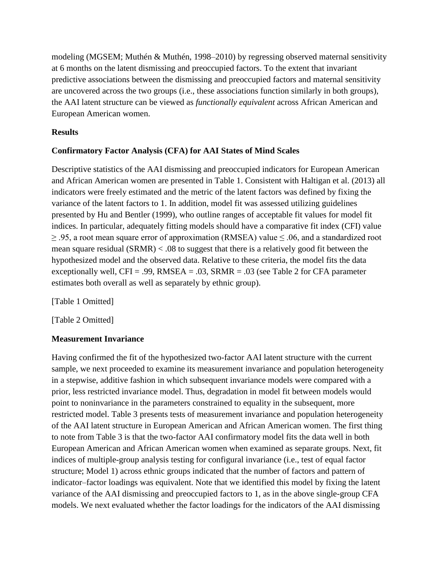modeling (MGSEM; Muthén & Muthén, 1998–2010) by regressing observed maternal sensitivity at 6 months on the latent dismissing and preoccupied factors. To the extent that invariant predictive associations between the dismissing and preoccupied factors and maternal sensitivity are uncovered across the two groups (i.e., these associations function similarly in both groups), the AAI latent structure can be viewed as *functionally equivalent* across African American and European American women.

### **Results**

## **Confirmatory Factor Analysis (CFA) for AAI States of Mind Scales**

Descriptive statistics of the AAI dismissing and preoccupied indicators for European American and African American women are presented in Table 1. Consistent with Haltigan et al. (2013) all indicators were freely estimated and the metric of the latent factors was defined by fixing the variance of the latent factors to 1. In addition, model fit was assessed utilizing guidelines presented by Hu and Bentler (1999), who outline ranges of acceptable fit values for model fit indices. In particular, adequately fitting models should have a comparative fit index (CFI) value  $\geq$  .95, a root mean square error of approximation (RMSEA) value  $\leq$  .06, and a standardized root mean square residual  $(SRMR) < .08$  to suggest that there is a relatively good fit between the hypothesized model and the observed data. Relative to these criteria, the model fits the data exceptionally well,  $CFI = .99$ , RMSEA =  $.03$ , SRMR =  $.03$  (see Table 2 for CFA parameter estimates both overall as well as separately by ethnic group).

[Table 1 Omitted]

[Table 2 Omitted]

## **Measurement Invariance**

Having confirmed the fit of the hypothesized two-factor AAI latent structure with the current sample, we next proceeded to examine its measurement invariance and population heterogeneity in a stepwise, additive fashion in which subsequent invariance models were compared with a prior, less restricted invariance model. Thus, degradation in model fit between models would point to noninvariance in the parameters constrained to equality in the subsequent, more restricted model. Table 3 presents tests of measurement invariance and population heterogeneity of the AAI latent structure in European American and African American women. The first thing to note from Table 3 is that the two-factor AAI confirmatory model fits the data well in both European American and African American women when examined as separate groups. Next, fit indices of multiple-group analysis testing for configural invariance (i.e., test of equal factor structure; Model 1) across ethnic groups indicated that the number of factors and pattern of indicator–factor loadings was equivalent. Note that we identified this model by fixing the latent variance of the AAI dismissing and preoccupied factors to 1, as in the above single-group CFA models. We next evaluated whether the factor loadings for the indicators of the AAI dismissing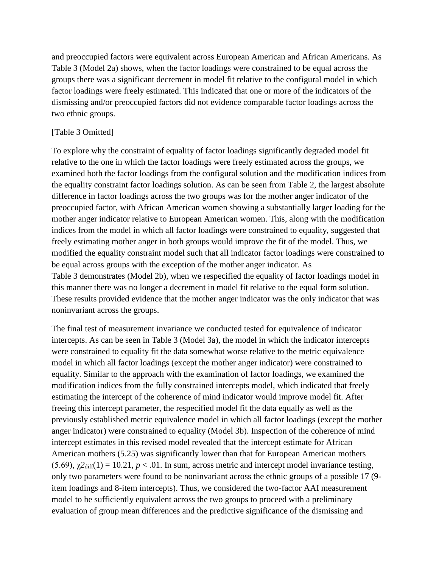and preoccupied factors were equivalent across European American and African Americans. As Table 3 (Model 2a) shows, when the factor loadings were constrained to be equal across the groups there was a significant decrement in model fit relative to the configural model in which factor loadings were freely estimated. This indicated that one or more of the indicators of the dismissing and/or preoccupied factors did not evidence comparable factor loadings across the two ethnic groups.

### [Table 3 Omitted]

To explore why the constraint of equality of factor loadings significantly degraded model fit relative to the one in which the factor loadings were freely estimated across the groups, we examined both the factor loadings from the configural solution and the modification indices from the equality constraint factor loadings solution. As can be seen from Table 2, the largest absolute difference in factor loadings across the two groups was for the mother anger indicator of the preoccupied factor, with African American women showing a substantially larger loading for the mother anger indicator relative to European American women. This, along with the modification indices from the model in which all factor loadings were constrained to equality, suggested that freely estimating mother anger in both groups would improve the fit of the model. Thus, we modified the equality constraint model such that all indicator factor loadings were constrained to be equal across groups with the exception of the mother anger indicator. As Table 3 demonstrates (Model 2b), when we respecified the equality of factor loadings model in this manner there was no longer a decrement in model fit relative to the equal form solution. These results provided evidence that the mother anger indicator was the only indicator that was noninvariant across the groups.

The final test of measurement invariance we conducted tested for equivalence of indicator intercepts. As can be seen in Table 3 (Model 3a), the model in which the indicator intercepts were constrained to equality fit the data somewhat worse relative to the metric equivalence model in which all factor loadings (except the mother anger indicator) were constrained to equality. Similar to the approach with the examination of factor loadings, we examined the modification indices from the fully constrained intercepts model, which indicated that freely estimating the intercept of the coherence of mind indicator would improve model fit. After freeing this intercept parameter, the respecified model fit the data equally as well as the previously established metric equivalence model in which all factor loadings (except the mother anger indicator) were constrained to equality (Model 3b). Inspection of the coherence of mind intercept estimates in this revised model revealed that the intercept estimate for African American mothers (5.25) was significantly lower than that for European American mothers (5.69),  $\chi^2$ <sub>diff</sub>(1) = 10.21, *p* < .01. In sum, across metric and intercept model invariance testing, only two parameters were found to be noninvariant across the ethnic groups of a possible 17 (9 item loadings and 8-item intercepts). Thus, we considered the two-factor AAI measurement model to be sufficiently equivalent across the two groups to proceed with a preliminary evaluation of group mean differences and the predictive significance of the dismissing and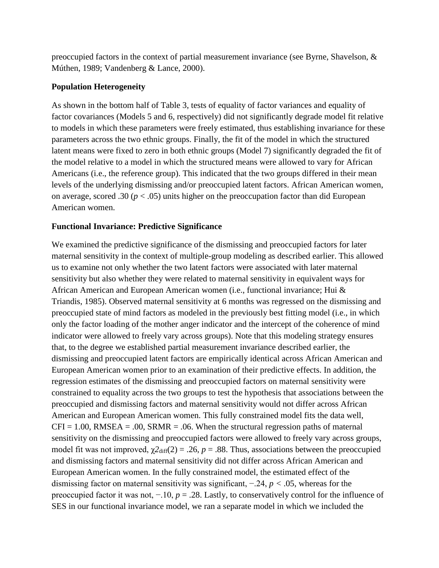preoccupied factors in the context of partial measurement invariance (see Byrne, Shavelson, & Múthen, 1989; Vandenberg & Lance, 2000).

## **Population Heterogeneity**

As shown in the bottom half of Table 3, tests of equality of factor variances and equality of factor covariances (Models 5 and 6, respectively) did not significantly degrade model fit relative to models in which these parameters were freely estimated, thus establishing invariance for these parameters across the two ethnic groups. Finally, the fit of the model in which the structured latent means were fixed to zero in both ethnic groups (Model 7) significantly degraded the fit of the model relative to a model in which the structured means were allowed to vary for African Americans (i.e., the reference group). This indicated that the two groups differed in their mean levels of the underlying dismissing and/or preoccupied latent factors. African American women, on average, scored .30 ( $p < .05$ ) units higher on the preoccupation factor than did European American women.

### **Functional Invariance: Predictive Significance**

We examined the predictive significance of the dismissing and preoccupied factors for later maternal sensitivity in the context of multiple-group modeling as described earlier. This allowed us to examine not only whether the two latent factors were associated with later maternal sensitivity but also whether they were related to maternal sensitivity in equivalent ways for African American and European American women (i.e., functional invariance; Hui & Triandis, 1985). Observed maternal sensitivity at 6 months was regressed on the dismissing and preoccupied state of mind factors as modeled in the previously best fitting model (i.e., in which only the factor loading of the mother anger indicator and the intercept of the coherence of mind indicator were allowed to freely vary across groups). Note that this modeling strategy ensures that, to the degree we established partial measurement invariance described earlier, the dismissing and preoccupied latent factors are empirically identical across African American and European American women prior to an examination of their predictive effects. In addition, the regression estimates of the dismissing and preoccupied factors on maternal sensitivity were constrained to equality across the two groups to test the hypothesis that associations between the preoccupied and dismissing factors and maternal sensitivity would not differ across African American and European American women. This fully constrained model fits the data well,  $CFI = 1.00$ , RMSEA = .00, SRMR = .06. When the structural regression paths of maternal sensitivity on the dismissing and preoccupied factors were allowed to freely vary across groups, model fit was not improved,  $\chi$ 2<sub>diff</sub>(2) = .26, *p* = .88. Thus, associations between the preoccupied and dismissing factors and maternal sensitivity did not differ across African American and European American women. In the fully constrained model, the estimated effect of the dismissing factor on maternal sensitivity was significant, −.24, *p <* .05, whereas for the preoccupied factor it was not, −.10, *p* = .28. Lastly, to conservatively control for the influence of SES in our functional invariance model, we ran a separate model in which we included the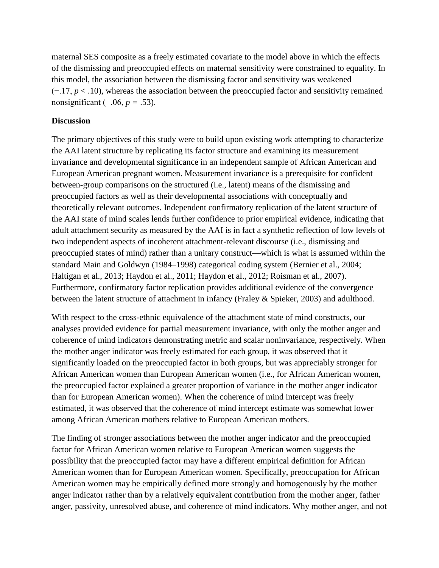maternal SES composite as a freely estimated covariate to the model above in which the effects of the dismissing and preoccupied effects on maternal sensitivity were constrained to equality. In this model, the association between the dismissing factor and sensitivity was weakened (−.17, *p* < .10), whereas the association between the preoccupied factor and sensitivity remained nonsignificant (−.06, *p =* .53).

### **Discussion**

The primary objectives of this study were to build upon existing work attempting to characterize the AAI latent structure by replicating its factor structure and examining its measurement invariance and developmental significance in an independent sample of African American and European American pregnant women. Measurement invariance is a prerequisite for confident between-group comparisons on the structured (i.e., latent) means of the dismissing and preoccupied factors as well as their developmental associations with conceptually and theoretically relevant outcomes. Independent confirmatory replication of the latent structure of the AAI state of mind scales lends further confidence to prior empirical evidence, indicating that adult attachment security as measured by the AAI is in fact a synthetic reflection of low levels of two independent aspects of incoherent attachment-relevant discourse (i.e., dismissing and preoccupied states of mind) rather than a unitary construct—which is what is assumed within the standard Main and Goldwyn (1984–1998) categorical coding system (Bernier et al., 2004; Haltigan et al., 2013; Haydon et al., 2011; Haydon et al., 2012; Roisman et al., 2007). Furthermore, confirmatory factor replication provides additional evidence of the convergence between the latent structure of attachment in infancy (Fraley & Spieker, 2003) and adulthood.

With respect to the cross-ethnic equivalence of the attachment state of mind constructs, our analyses provided evidence for partial measurement invariance, with only the mother anger and coherence of mind indicators demonstrating metric and scalar noninvariance, respectively. When the mother anger indicator was freely estimated for each group, it was observed that it significantly loaded on the preoccupied factor in both groups, but was appreciably stronger for African American women than European American women (i.e., for African American women, the preoccupied factor explained a greater proportion of variance in the mother anger indicator than for European American women). When the coherence of mind intercept was freely estimated, it was observed that the coherence of mind intercept estimate was somewhat lower among African American mothers relative to European American mothers.

The finding of stronger associations between the mother anger indicator and the preoccupied factor for African American women relative to European American women suggests the possibility that the preoccupied factor may have a different empirical definition for African American women than for European American women. Specifically, preoccupation for African American women may be empirically defined more strongly and homogenously by the mother anger indicator rather than by a relatively equivalent contribution from the mother anger, father anger, passivity, unresolved abuse, and coherence of mind indicators. Why mother anger, and not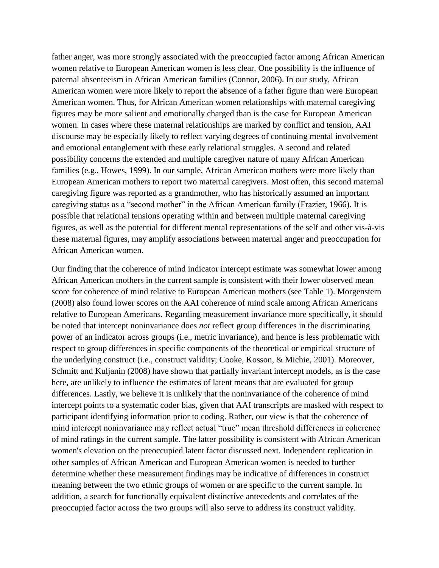father anger, was more strongly associated with the preoccupied factor among African American women relative to European American women is less clear. One possibility is the influence of paternal absenteeism in African American families (Connor, 2006). In our study, African American women were more likely to report the absence of a father figure than were European American women. Thus, for African American women relationships with maternal caregiving figures may be more salient and emotionally charged than is the case for European American women. In cases where these maternal relationships are marked by conflict and tension, AAI discourse may be especially likely to reflect varying degrees of continuing mental involvement and emotional entanglement with these early relational struggles. A second and related possibility concerns the extended and multiple caregiver nature of many African American families (e.g., Howes, 1999). In our sample, African American mothers were more likely than European American mothers to report two maternal caregivers. Most often, this second maternal caregiving figure was reported as a grandmother, who has historically assumed an important caregiving status as a "second mother" in the African American family (Frazier, 1966). It is possible that relational tensions operating within and between multiple maternal caregiving figures, as well as the potential for different mental representations of the self and other vis-à-vis these maternal figures, may amplify associations between maternal anger and preoccupation for African American women.

Our finding that the coherence of mind indicator intercept estimate was somewhat lower among African American mothers in the current sample is consistent with their lower observed mean score for coherence of mind relative to European American mothers (see Table 1). Morgenstern (2008) also found lower scores on the AAI coherence of mind scale among African Americans relative to European Americans. Regarding measurement invariance more specifically, it should be noted that intercept noninvariance does *not* reflect group differences in the discriminating power of an indicator across groups (i.e., metric invariance), and hence is less problematic with respect to group differences in specific components of the theoretical or empirical structure of the underlying construct (i.e., construct validity; Cooke, Kosson, & Michie, 2001). Moreover, Schmitt and Kuljanin (2008) have shown that partially invariant intercept models, as is the case here, are unlikely to influence the estimates of latent means that are evaluated for group differences. Lastly, we believe it is unlikely that the noninvariance of the coherence of mind intercept points to a systematic coder bias, given that AAI transcripts are masked with respect to participant identifying information prior to coding. Rather, our view is that the coherence of mind intercept noninvariance may reflect actual "true" mean threshold differences in coherence of mind ratings in the current sample. The latter possibility is consistent with African American women's elevation on the preoccupied latent factor discussed next. Independent replication in other samples of African American and European American women is needed to further determine whether these measurement findings may be indicative of differences in construct meaning between the two ethnic groups of women or are specific to the current sample. In addition, a search for functionally equivalent distinctive antecedents and correlates of the preoccupied factor across the two groups will also serve to address its construct validity.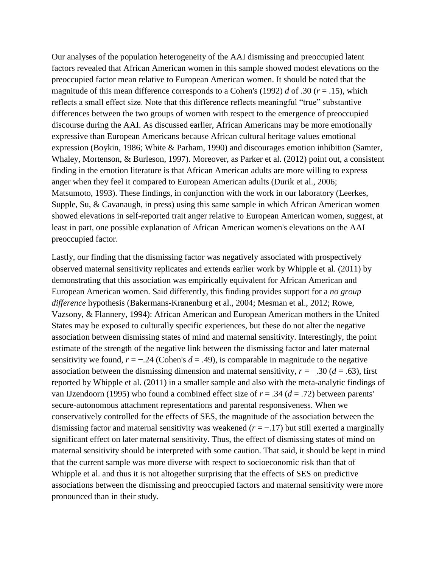Our analyses of the population heterogeneity of the AAI dismissing and preoccupied latent factors revealed that African American women in this sample showed modest elevations on the preoccupied factor mean relative to European American women. It should be noted that the magnitude of this mean difference corresponds to a Cohen's (1992) *d* of .30 (*r* = .15), which reflects a small effect size. Note that this difference reflects meaningful "true" substantive differences between the two groups of women with respect to the emergence of preoccupied discourse during the AAI. As discussed earlier, African Americans may be more emotionally expressive than European Americans because African cultural heritage values emotional expression (Boykin, 1986; White & Parham, 1990) and discourages emotion inhibition (Samter, Whaley, Mortenson, & Burleson, 1997). Moreover, as Parker et al. (2012) point out, a consistent finding in the emotion literature is that African American adults are more willing to express anger when they feel it compared to European American adults (Durik et al., 2006; Matsumoto, 1993). These findings, in conjunction with the work in our laboratory (Leerkes, Supple, Su, & Cavanaugh, in press) using this same sample in which African American women showed elevations in self-reported trait anger relative to European American women, suggest, at least in part, one possible explanation of African American women's elevations on the AAI preoccupied factor.

Lastly, our finding that the dismissing factor was negatively associated with prospectively observed maternal sensitivity replicates and extends earlier work by Whipple et al. (2011) by demonstrating that this association was empirically equivalent for African American and European American women. Said differently, this finding provides support for a *no group difference* hypothesis (Bakermans-Kranenburg et al., 2004; Mesman et al., 2012; Rowe, Vazsony, & Flannery, 1994): African American and European American mothers in the United States may be exposed to culturally specific experiences, but these do not alter the negative association between dismissing states of mind and maternal sensitivity. Interestingly, the point estimate of the strength of the negative link between the dismissing factor and later maternal sensitivity we found,  $r = -0.24$  (Cohen's  $d = 0.49$ ), is comparable in magnitude to the negative association between the dismissing dimension and maternal sensitivity,  $r = -0.30$  ( $d = 0.63$ ), first reported by Whipple et al. (2011) in a smaller sample and also with the meta-analytic findings of van IJzendoorn (1995) who found a combined effect size of *r* = .34 (*d* = .72) between parents' secure-autonomous attachment representations and parental responsiveness. When we conservatively controlled for the effects of SES, the magnitude of the association between the dismissing factor and maternal sensitivity was weakened  $(r = -17)$  but still exerted a marginally significant effect on later maternal sensitivity. Thus, the effect of dismissing states of mind on maternal sensitivity should be interpreted with some caution. That said, it should be kept in mind that the current sample was more diverse with respect to socioeconomic risk than that of Whipple et al. and thus it is not altogether surprising that the effects of SES on predictive associations between the dismissing and preoccupied factors and maternal sensitivity were more pronounced than in their study.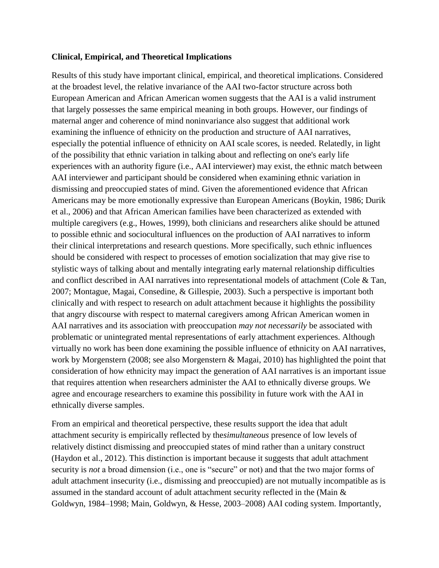#### **Clinical, Empirical, and Theoretical Implications**

Results of this study have important clinical, empirical, and theoretical implications. Considered at the broadest level, the relative invariance of the AAI two-factor structure across both European American and African American women suggests that the AAI is a valid instrument that largely possesses the same empirical meaning in both groups. However, our findings of maternal anger and coherence of mind noninvariance also suggest that additional work examining the influence of ethnicity on the production and structure of AAI narratives, especially the potential influence of ethnicity on AAI scale scores, is needed. Relatedly, in light of the possibility that ethnic variation in talking about and reflecting on one's early life experiences with an authority figure (i.e., AAI interviewer) may exist, the ethnic match between AAI interviewer and participant should be considered when examining ethnic variation in dismissing and preoccupied states of mind. Given the aforementioned evidence that African Americans may be more emotionally expressive than European Americans (Boykin, 1986; Durik et al., 2006) and that African American families have been characterized as extended with multiple caregivers (e.g., Howes, 1999), both clinicians and researchers alike should be attuned to possible ethnic and sociocultural influences on the production of AAI narratives to inform their clinical interpretations and research questions. More specifically, such ethnic influences should be considered with respect to processes of emotion socialization that may give rise to stylistic ways of talking about and mentally integrating early maternal relationship difficulties and conflict described in AAI narratives into representational models of attachment (Cole & Tan, 2007; Montague, Magai, Consedine, & Gillespie, 2003). Such a perspective is important both clinically and with respect to research on adult attachment because it highlights the possibility that angry discourse with respect to maternal caregivers among African American women in AAI narratives and its association with preoccupation *may not necessarily* be associated with problematic or unintegrated mental representations of early attachment experiences. Although virtually no work has been done examining the possible influence of ethnicity on AAI narratives, work by Morgenstern (2008; see also Morgenstern & Magai, 2010) has highlighted the point that consideration of how ethnicity may impact the generation of AAI narratives is an important issue that requires attention when researchers administer the AAI to ethnically diverse groups. We agree and encourage researchers to examine this possibility in future work with the AAI in ethnically diverse samples.

From an empirical and theoretical perspective, these results support the idea that adult attachment security is empirically reflected by the*simultaneous* presence of low levels of relatively distinct dismissing and preoccupied states of mind rather than a unitary construct (Haydon et al., 2012). This distinction is important because it suggests that adult attachment security is *not* a broad dimension (i.e., one is "secure" or not) and that the two major forms of adult attachment insecurity (i.e., dismissing and preoccupied) are not mutually incompatible as is assumed in the standard account of adult attachment security reflected in the (Main & Goldwyn, 1984–1998; Main, Goldwyn, & Hesse, 2003–2008) AAI coding system. Importantly,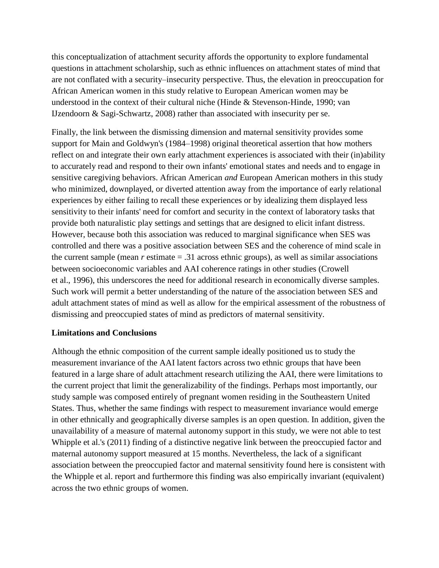this conceptualization of attachment security affords the opportunity to explore fundamental questions in attachment scholarship, such as ethnic influences on attachment states of mind that are not conflated with a security–insecurity perspective. Thus, the elevation in preoccupation for African American women in this study relative to European American women may be understood in the context of their cultural niche (Hinde & Stevenson-Hinde, 1990; van IJzendoorn & Sagi-Schwartz, 2008) rather than associated with insecurity per se.

Finally, the link between the dismissing dimension and maternal sensitivity provides some support for Main and Goldwyn's (1984–1998) original theoretical assertion that how mothers reflect on and integrate their own early attachment experiences is associated with their (in)ability to accurately read and respond to their own infants' emotional states and needs and to engage in sensitive caregiving behaviors. African American *and* European American mothers in this study who minimized, downplayed, or diverted attention away from the importance of early relational experiences by either failing to recall these experiences or by idealizing them displayed less sensitivity to their infants' need for comfort and security in the context of laboratory tasks that provide both naturalistic play settings and settings that are designed to elicit infant distress. However, because both this association was reduced to marginal significance when SES was controlled and there was a positive association between SES and the coherence of mind scale in the current sample (mean  $r$  estimate  $= .31$  across ethnic groups), as well as similar associations between socioeconomic variables and AAI coherence ratings in other studies (Crowell et al., 1996), this underscores the need for additional research in economically diverse samples. Such work will permit a better understanding of the nature of the association between SES and adult attachment states of mind as well as allow for the empirical assessment of the robustness of dismissing and preoccupied states of mind as predictors of maternal sensitivity.

### **Limitations and Conclusions**

Although the ethnic composition of the current sample ideally positioned us to study the measurement invariance of the AAI latent factors across two ethnic groups that have been featured in a large share of adult attachment research utilizing the AAI, there were limitations to the current project that limit the generalizability of the findings. Perhaps most importantly, our study sample was composed entirely of pregnant women residing in the Southeastern United States. Thus, whether the same findings with respect to measurement invariance would emerge in other ethnically and geographically diverse samples is an open question. In addition, given the unavailability of a measure of maternal autonomy support in this study, we were not able to test Whipple et al.'s (2011) finding of a distinctive negative link between the preoccupied factor and maternal autonomy support measured at 15 months. Nevertheless, the lack of a significant association between the preoccupied factor and maternal sensitivity found here is consistent with the Whipple et al. report and furthermore this finding was also empirically invariant (equivalent) across the two ethnic groups of women.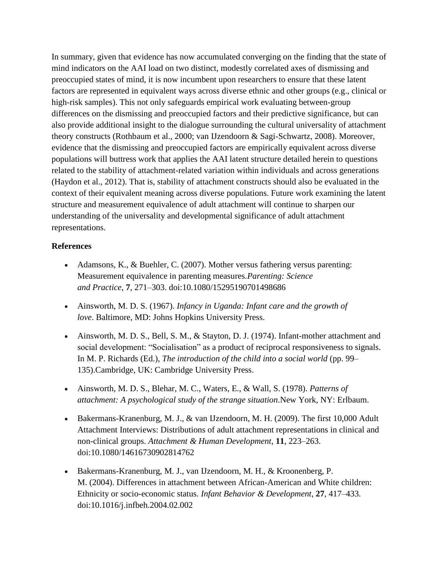In summary, given that evidence has now accumulated converging on the finding that the state of mind indicators on the AAI load on two distinct, modestly correlated axes of dismissing and preoccupied states of mind, it is now incumbent upon researchers to ensure that these latent factors are represented in equivalent ways across diverse ethnic and other groups (e.g., clinical or high-risk samples). This not only safeguards empirical work evaluating between-group differences on the dismissing and preoccupied factors and their predictive significance, but can also provide additional insight to the dialogue surrounding the cultural universality of attachment theory constructs (Rothbaum et al., 2000; van IJzendoorn & Sagi-Schwartz, 2008). Moreover, evidence that the dismissing and preoccupied factors are empirically equivalent across diverse populations will buttress work that applies the AAI latent structure detailed herein to questions related to the stability of attachment-related variation within individuals and across generations (Haydon et al., 2012). That is, stability of attachment constructs should also be evaluated in the context of their equivalent meaning across diverse populations. Future work examining the latent structure and measurement equivalence of adult attachment will continue to sharpen our understanding of the universality and developmental significance of adult attachment representations.

## **References**

- Adamsons, K., & Buehler, C. (2007). Mother versus fathering versus parenting: Measurement equivalence in parenting measures.*Parenting: Science and Practice*, **7**, 271–303. doi:10.1080/15295190701498686
- Ainsworth, M. D. S. (1967). *Infancy in Uganda: Infant care and the growth of love*. Baltimore, MD: Johns Hopkins University Press.
- $\bullet$  Ainsworth, M. D. S., Bell, S. M., & Stayton, D. J. (1974). Infant-mother attachment and social development: "Socialisation" as a product of reciprocal responsiveness to signals. In M. P. Richards (Ed.), *The introduction of the child into a social world* (pp. 99– 135).Cambridge, UK: Cambridge University Press.
- Ainsworth, M. D. S., Blehar, M. C., Waters, E., & Wall, S. (1978). *Patterns of attachment: A psychological study of the strange situation*.New York, NY: Erlbaum.
- Bakermans-Kranenburg, M. J., & van IJzendoorn, M. H. (2009). The first 10,000 Adult Attachment Interviews: Distributions of adult attachment representations in clinical and non-clinical groups. *Attachment & Human Development*, **11**, 223–263. doi:10.1080/14616730902814762
- Bakermans-Kranenburg, M. J., van IJzendoorn, M. H., & Kroonenberg, P. M. (2004). Differences in attachment between African-American and White children: Ethnicity or socio-economic status. *Infant Behavior & Development*, **27**, 417–433. doi:10.1016/j.infbeh.2004.02.002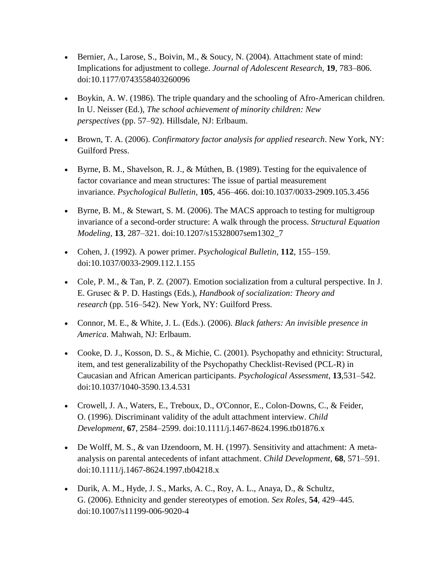- Bernier, A., Larose, S., Boivin, M., & Soucy, N. (2004). Attachment state of mind: Implications for adjustment to college. *Journal of Adolescent Research*, **19**, 783–806. doi:10.1177/0743558403260096
- Boykin, A. W. (1986). The triple quandary and the schooling of Afro-American children. In U. Neisser (Ed.), *The school achievement of minority children: New perspectives* (pp. 57–92). Hillsdale, NJ: Erlbaum.
- Brown, T. A. (2006). *Confirmatory factor analysis for applied research*. New York, NY: Guilford Press.
- Byrne, B. M., Shavelson, R. J., & Múthen, B. (1989). Testing for the equivalence of factor covariance and mean structures: The issue of partial measurement invariance. *Psychological Bulletin*, **105**, 456–466. doi:10.1037/0033-2909.105.3.456
- Byrne, B. M., & Stewart, S. M. (2006). The MACS approach to testing for multigroup invariance of a second-order structure: A walk through the process. *Structural Equation Modeling*, **13**, 287–321. doi:10.1207/s15328007sem1302\_7
- Cohen, J. (1992). A power primer. *Psychological Bulletin*, **112**, 155–159. doi:10.1037/0033-2909.112.1.155
- Cole, P. M.,  $\&$  Tan, P. Z. (2007). Emotion socialization from a cultural perspective. In J. E. Grusec & P. D. Hastings (Eds.), *Handbook of socialization: Theory and research* (pp. 516–542). New York, NY: Guilford Press.
- Connor, M. E., & White, J. L. (Eds.). (2006). *Black fathers: An invisible presence in America*. Mahwah, NJ: Erlbaum.
- Cooke, D. J., Kosson, D. S., & Michie, C. (2001). Psychopathy and ethnicity: Structural, item, and test generalizability of the Psychopathy Checklist-Revised (PCL-R) in Caucasian and African American participants. *Psychological Assessment*, **13**,531–542. doi:10.1037/1040-3590.13.4.531
- Crowell, J. A., Waters, E., Treboux, D., O'Connor, E., Colon-Downs, C., & Feider, O. (1996). Discriminant validity of the adult attachment interview. *Child Development*, **67**, 2584–2599. doi:10.1111/j.1467-8624.1996.tb01876.x
- De Wolff, M. S., & van IJzendoorn, M. H. (1997). Sensitivity and attachment: A metaanalysis on parental antecedents of infant attachment. *Child Development*, **68**, 571–591. doi:10.1111/j.1467-8624.1997.tb04218.x
- Durik, A. M., Hyde, J. S., Marks, A. C., Roy, A. L., Anaya, D., & Schultz, G. (2006). Ethnicity and gender stereotypes of emotion. *Sex Roles*, **54**, 429–445. doi:10.1007/s11199-006-9020-4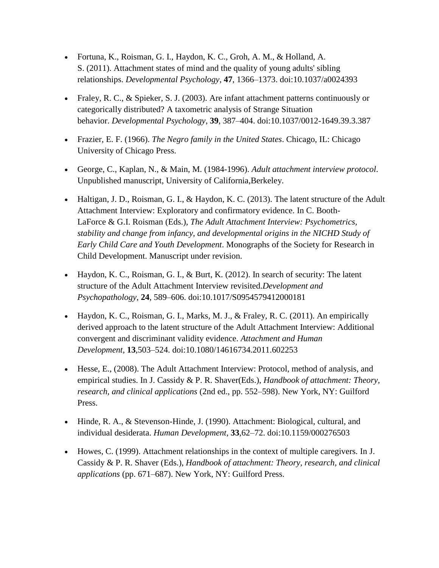- Fortuna, K., Roisman, G. I., Haydon, K. C., Groh, A. M., & Holland, A. S. (2011). Attachment states of mind and the quality of young adults' sibling relationships. *Developmental Psychology*, **47**, 1366–1373. doi:10.1037/a0024393
- Fraley, R. C., & Spieker, S. J. (2003). Are infant attachment patterns continuously or categorically distributed? A taxometric analysis of Strange Situation behavior. *Developmental Psychology*, **39**, 387–404. doi:10.1037/0012-1649.39.3.387
- Frazier, E. F. (1966). *The Negro family in the United States*. Chicago, IL: Chicago University of Chicago Press.
- George, C., Kaplan, N., & Main, M. (1984-1996). *Adult attachment interview protocol*. Unpublished manuscript, University of California,Berkeley.
- Haltigan, J. D., Roisman, G. I., & Haydon, K. C. (2013). The latent structure of the Adult Attachment Interview: Exploratory and confirmatory evidence. In C. Booth-LaForce & G.I. Roisman (Eds.), *The Adult Attachment Interview: Psychometrics, stability and change from infancy, and developmental origins in the NICHD Study of Early Child Care and Youth Development*. Monographs of the Society for Research in Child Development. Manuscript under revision.
- Haydon, K. C., Roisman, G. I., & Burt, K. (2012). In search of security: The latent structure of the Adult Attachment Interview revisited.*Development and Psychopathology*, **24**, 589–606. doi:10.1017/S0954579412000181
- Haydon, K. C., Roisman, G. I., Marks, M. J., & Fraley, R. C. (2011). An empirically derived approach to the latent structure of the Adult Attachment Interview: Additional convergent and discriminant validity evidence. *Attachment and Human Development*, **13**,503–524. doi:10.1080/14616734.2011.602253
- Hesse, E., (2008). The Adult Attachment Interview: Protocol, method of analysis, and empirical studies. In J. Cassidy & P. R. Shaver(Eds.), *Handbook of attachment: Theory, research, and clinical applications* (2nd ed., pp. 552–598). New York, NY: Guilford Press.
- Hinde, R. A., & Stevenson-Hinde, J. (1990). Attachment: Biological, cultural, and individual desiderata. *Human Development*, **33**,62–72. doi:10.1159/000276503
- Howes, C. (1999). Attachment relationships in the context of multiple caregivers. In J. Cassidy & P. R. Shaver (Eds.), *Handbook of attachment: Theory, research, and clinical applications* (pp. 671–687). New York, NY: Guilford Press.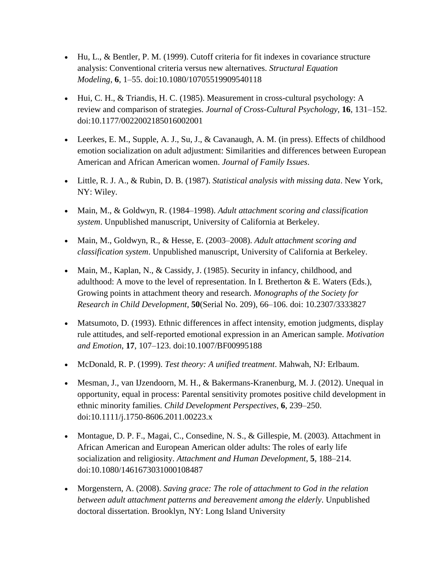- Hu, L., & Bentler, P. M. (1999). Cutoff criteria for fit indexes in covariance structure analysis: Conventional criteria versus new alternatives. *Structural Equation Modeling*, **6**, 1–55. doi:10.1080/10705519909540118
- Hui, C. H., & Triandis, H. C. (1985). Measurement in cross-cultural psychology: A review and comparison of strategies. *Journal of Cross-Cultural Psychology*, **16**, 131–152. doi:10.1177/0022002185016002001
- **Leerkes, E. M., Supple, A. J., Su, J., & Cavanaugh, A. M.** (in press). Effects of childhood emotion socialization on adult adjustment: Similarities and differences between European American and African American women. *Journal of Family Issues*.
- Little, R. J. A., & Rubin, D. B. (1987). *Statistical analysis with missing data*. New York, NY: Wiley.
- Main, M., & Goldwyn, R. (1984–1998). *Adult attachment scoring and classification system*. Unpublished manuscript, University of California at Berkeley.
- Main, M., Goldwyn, R., & Hesse, E. (2003–2008). *Adult attachment scoring and classification system*. Unpublished manuscript, University of California at Berkeley.
- Main, M., Kaplan, N., & Cassidy, J. (1985). Security in infancy, childhood, and adulthood: A move to the level of representation. In I. Bretherton  $\& E.$  Waters (Eds.), Growing points in attachment theory and research. *Monographs of the Society for Research in Child Development*, **50**(Serial No. 209), 66–106. doi: 10.2307/3333827
- Matsumoto, D. (1993). Ethnic differences in affect intensity, emotion judgments, display rule attitudes, and self-reported emotional expression in an American sample. *Motivation and Emotion*, **17**, 107–123. doi:10.1007/BF00995188
- McDonald, R. P. (1999). *Test theory: A unified treatment*. Mahwah, NJ: Erlbaum.
- Mesman, J., van IJzendoorn, M. H., & Bakermans-Kranenburg, M. J. (2012). Unequal in opportunity, equal in process: Parental sensitivity promotes positive child development in ethnic minority families. *Child Development Perspectives*, **6**, 239–250. doi:10.1111/j.1750-8606.2011.00223.x
- Montague, D. P. F., Magai, C., Consedine, N. S., & Gillespie, M. (2003). Attachment in African American and European American older adults: The roles of early life socialization and religiosity. *Attachment and Human Development*, **5**, 188–214. doi:10.1080/1461673031000108487
- Morgenstern, A. (2008). *Saving grace: The role of attachment to God in the relation between adult attachment patterns and bereavement among the elderly*. Unpublished doctoral dissertation. Brooklyn, NY: Long Island University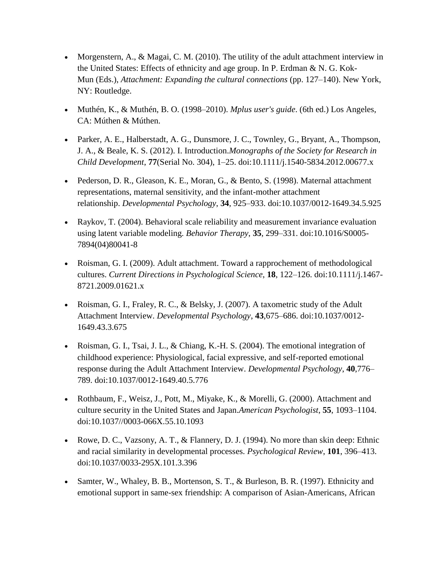- Morgenstern, A., & Magai, C. M. (2010). The utility of the adult attachment interview in the United States: Effects of ethnicity and age group. In P. Erdman & N. G. Kok-Mun (Eds.), *Attachment: Expanding the cultural connections* (pp. 127–140). New York, NY: Routledge.
- Muthén, K., & Muthén, B. O. (1998–2010). *Mplus user's guide*. (6th ed.) Los Angeles, CA: Múthen & Múthen.
- Parker, A. E., Halberstadt, A. G., Dunsmore, J. C., Townley, G., Bryant, A., Thompson, J. A., & Beale, K. S. (2012). I. Introduction.*Monographs of the Society for Research in Child Development*, **77**(Serial No. 304), 1–25. doi:10.1111/j.1540-5834.2012.00677.x
- Pederson, D. R., Gleason, K. E., Moran, G., & Bento, S. (1998). Maternal attachment representations, maternal sensitivity, and the infant-mother attachment relationship. *Developmental Psychology*, **34**, 925–933. doi:10.1037/0012-1649.34.5.925
- Raykov, T. (2004). Behavioral scale reliability and measurement invariance evaluation using latent variable modeling. *Behavior Therapy*, **35**, 299–331. doi:10.1016/S0005- 7894(04)80041-8
- Roisman, G. I. (2009). Adult attachment. Toward a rapprochement of methodological cultures. *Current Directions in Psychological Science*, **18**, 122–126. doi:10.1111/j.1467- 8721.2009.01621.x
- Roisman, G. I., Fraley, R. C., & Belsky, J. (2007). A taxometric study of the Adult Attachment Interview. *Developmental Psychology*, **43**,675–686. doi:10.1037/0012- 1649.43.3.675
- Roisman, G. I., Tsai, J. L., & Chiang, K.-H. S. (2004). The emotional integration of childhood experience: Physiological, facial expressive, and self-reported emotional response during the Adult Attachment Interview. *Developmental Psychology*, **40**,776– 789. doi:10.1037/0012-1649.40.5.776
- Rothbaum, F., Weisz, J., Pott, M., Miyake, K., & Morelli, G. (2000). Attachment and culture security in the United States and Japan.*American Psychologist*, **55**, 1093–1104. doi:10.1037//0003-066X.55.10.1093
- Rowe, D. C., Vazsony, A. T., & Flannery, D. J. (1994). No more than skin deep: Ethnic and racial similarity in developmental processes. *Psychological Review*, **101**, 396–413. doi:10.1037/0033-295X.101.3.396
- Samter, W., Whaley, B. B., Mortenson, S. T., & Burleson, B. R. (1997). Ethnicity and emotional support in same-sex friendship: A comparison of Asian-Americans, African